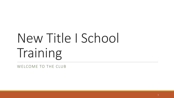# New Title I School Training

WELCOME TO THE CLUB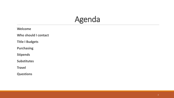#### Agenda

**Welcome**

**Who should I contact**

**Title I Budgets**

**Purchasing**

**Stipends**

**Substitutes**

**Travel**

**Questions**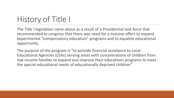# History of Title I

The Title I legislation came about as a result of a Presidential task force that recommended to congress that there was need for a massive effort to expand experimental "compensatory education" programs and to equalize educational opportunity.

The purpose of the program is "to provide financial assistance to Local Educational Agencies (LEAs) serving areas with concentrations of children from low-income families to expand and improve their educations programs to meet the special educational needs of educationally deprived children"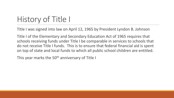# History of Title I

Title I was signed into law on April 12, 1965 by President Lyndon B. Johnson

Title I of the Elementary and Secondary Education Act of 1965 requires that schools receiving funds under Title I be comparable in services to schools that do not receive Title I funds. This is to ensure that federal financial aid is spent on top of state and local funds to which all public school children are entitled.

This year marks the 50<sup>th</sup> anniversary of Title I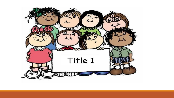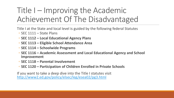## Title I – Improving the Academic Achievement Of The Disadvantaged

Title I at the State and local level is guided by the following federal Statutes

- SEC 1111 State Plans
- **SEC 1112 – Local Educational Agency Plans**
- **SEC 1113 – Eligible School Attendance Area**
- **SEC 1114 – Schoolwide Programs**
- **SEC 1116 – Academic Assessment and Local Educational Agency and School Improvement**
- **SEC 1118 – Parental Involvement**
- **SEC 1120 – Participation of Children Enrolled in Private Schools**

If you want to take a deep dive into the Title I statutes visit <http://www2.ed.gov/policy/elsec/leg/esea02/pg3.html>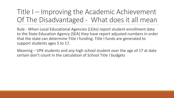#### Title I – Improving the Academic Achievement Of The Disadvantaged - What does it all mean

Rule - When Local Educational Agencies (LEAs) report student enrollment data to the State Education Agency (SEA) they have report adjusted numbers in order that the state can determine Title I funding. Title I funds are generated to support students ages 5 to 17.

Meaning – VPK students and any high school student over the age of 17 at date certain don't count in the calculation of School Title I budgets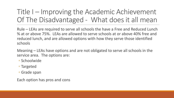#### Title I – Improving the Academic Achievement Of The Disadvantaged - What does it all mean

Rule – LEAs are required to serve all schools the have a Free and Reduced Lunch % at or above 75%. LEAs are allowed to serve schools at or above 40% free and reduced lunch, and are allowed options with how they serve those identified schools

Meaning – LEAs have options and are not obligated to serve all schools in the service area. The options are:

- Schoolwide
- Targeted
- Grade span

Each option has pros and cons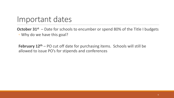#### Important dates

**October 31st** – Date for schools to encumber or spend 80% of the Title I budgets ◦ Why do we have this goal?

**February 12th** – PO cut off date for purchasing items. Schools will still be allowed to issue PO's for stipends and conferences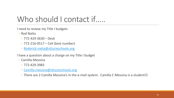I need to review my Title I budgets

- Rod Natta
	- 772-429-3630 Desk
	- 772-216-0517 Cell (best number)
	- [Roderick.natta@stlucieschools.org](mailto:Roderick.natta@stlucieschools.org)

I have a question about a charge on my Title I budget

- Camilla Messina
	- 772-429-3983
	- [Camilla.messina@stlucieschools.org](mailto:Camilla.messina@stlucieschools.org)
	- There are 2 Camilla Messina's in the e-mail system. Camilla C Messina is a student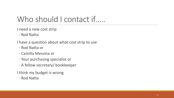I need a new cost strip

◦ Rod Natta

I have a question about what cost strip to use

- Rod Natta or
- Camilla Messina or
- Your purchasing specialist or
- A fellow secretary/ bookkeeper

I think my budget is wrong

◦ Rod Natta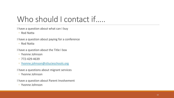I have a question about what can I buy

◦ Rod Natta

I have a question about paying for a conference

◦ Rod Natta

I have a question about the Title I box

- Yvonne Johnson
- 772-429-4639
- [Yvonne.johnson@stlucieschools.org](mailto:Yvonne.johnson@stlucieschools.org)

I have a questions about migrant services

◦ Yvonne Johnson

I have a question about Parent Involvement

◦ Yvonne Johnson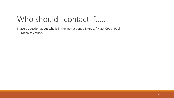I have a question about who is in the Instructional/ Literacy/ Math Coach Pool

◦ Nicholas Zrallack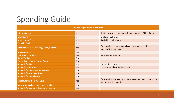# Spending Guide

| <b>Salaries, Stipends and Substitutes</b>         |           |                                                                                                       |  |
|---------------------------------------------------|-----------|-------------------------------------------------------------------------------------------------------|--|
| <b>Literacy Coach</b>                             | Yes       | Limited to schools that had a Literacy coach in FY 2012-2013                                          |  |
| <b>Math Coach</b>                                 | Yes       | Available to all schools                                                                              |  |
| <b>Instructional Coach</b>                        | Yes       | Available to all schools                                                                              |  |
| <b>Behavior Tech</b>                              | Yes       |                                                                                                       |  |
| <b>Resource Teacher - Reading, Math, Science</b>  | Yes       | If the teacher is supplemental and teaches a core subject -<br>requires Title I approval              |  |
| <b>Interventionist</b>                            | Yes       |                                                                                                       |  |
| <b>Guidance Counselor</b>                         | Yes       | Must be supplemental                                                                                  |  |
| <b>Social Worker</b>                              | <b>No</b> |                                                                                                       |  |
| Parent involvement teacher/para                   | <b>No</b> |                                                                                                       |  |
| <b>Stipends for PD</b>                            | Yes       | Core subject teachers                                                                                 |  |
| <b>Stipends to tutoring</b>                       | Yes       | SLPS employed certified teachers                                                                      |  |
| <b>Stipends for department meetings</b>           | <b>No</b> |                                                                                                       |  |
| <b>Stipends for staff meetings</b>                | <b>No</b> |                                                                                                       |  |
| <b>Stipends for open house</b>                    | <b>No</b> |                                                                                                       |  |
| <b>Substitute teachers PD - Core</b>              | Yes       | If the teacher is attending a core subject area training that is not<br>part of a district initiative |  |
| <b>Substitute teachers - Arts, Music and PE</b>   | <b>No</b> |                                                                                                       |  |
| <b>Stipends for annual Title I parent meeting</b> | Yes       |                                                                                                       |  |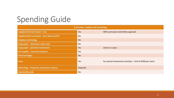### Spending Guide

| <b>Curriculum, supplies and technology</b>          |                |                                                              |  |
|-----------------------------------------------------|----------------|--------------------------------------------------------------|--|
| <b>Supplemental curriculum - core</b>               | Yes            | With curriculum committee approval                           |  |
| <b>Supplemental curriculum - Arts, Music and PE</b> | <b>No</b>      |                                                              |  |
| <b>Adaptive technology</b>                          | <b>No</b>      |                                                              |  |
| Copy paper - classroom, copy room                   | <b>No</b>      |                                                              |  |
| Copy paper - parental involvement                   | Yes            | Limit to 2 cases                                             |  |
| Art supplies - classroom projects                   | Yes            |                                                              |  |
| <b>Print Cartridges</b>                             | <b>No</b>      |                                                              |  |
| <b>Food</b>                                         | Yes            | For parent Involvement activities - Limit of \$400 per event |  |
| <b>Technology - Projectors, Document cameras</b>    | <b>Depends</b> |                                                              |  |
| <b>Awards/Rewards</b>                               | <b>No</b>      |                                                              |  |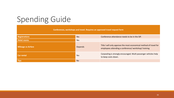# Spending Guide

**Conferences, workshops and travel. Requires an approved travel request form**

| <b>Registrations</b>      | Yes            | Conference attendance needs to be in the SIP.                                                                              |
|---------------------------|----------------|----------------------------------------------------------------------------------------------------------------------------|
| <b>Hotel rooms</b>        | Yes            |                                                                                                                            |
| <b>Mileage vs Airfare</b> | <b>Depends</b> | Title I will only approve the most economical method of travel for<br>employees attending a conference/ workshop/ training |
| <b>Car rental</b>         | Yes            | Carpooling is strongly encouraged. Multi passenger vehicles help<br>to keep costs down.                                    |
| <b>Tips</b>               | <b>No</b>      |                                                                                                                            |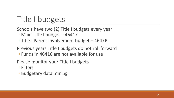#### Title I budgets

- Schools have two (2) Title I budgets every year
	- Main Title I budget 46417
	- Title I Parent Involvement budget 4647P

Previous years Title I budgets do not roll forward ◦ Funds in 46416 are not available for use

Please monitor your Title I budgets

- Filters
- Budgetary data mining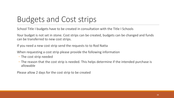### Budgets and Cost strips

School Title I budgets have to be created in consultation with the Title I Schools

Your budget is not set in stone. Cost strips can be created, budgets can be changed and funds can be transferred to new cost strips.

If you need a new cost strip send the requests to to Rod Natta

When requesting a cost strip please provide the following information

- The cost strip needed
- The reason that the cost strip is needed. This helps determine if the intended purchase is allowable

Please allow 2 days for the cost strip to be created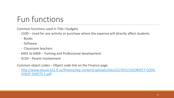#### Fun functions

Common functions used in Title I budgets

- 5100 Used for any activity or purchase where the expense will directly affect students
	- Books
	- Software
	- Classroom teachers
- 6401 to 6409 Training and Professional development
- 6150 Parent Involvement

Common object codes – Object code link on the Finance page

◦ [http://www.stlucie.k12.fl.us/finance/wp-content/uploads/sites/22/2015/10/OBJECT-CODE-](http://www.stlucie.k12.fl.us/finance/wp-content/uploads/sites/22/2015/10/OBJECT-CODE-CHEAT-SHEETS-1.pdf)CHEAT-SHEETS-1.pdf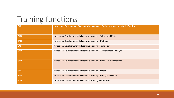#### Training functions

| 6401 | Professional Development / Collaborative planning - English Language Arts, Social Studies |
|------|-------------------------------------------------------------------------------------------|
| 6402 | Professional Development / Collaborative planning – Science and Math                      |
| 6403 | Professional Development / Collaborative planning - Methods                               |
| 6404 | Professional Development / Collaborative planning - Technology                            |
| 6405 | Professional Development / Collaborative planning - Assessment and Analysis               |
| 6406 | Professional Development / Collaborative planning - Classroom management                  |
| 6407 | Professional Development / Collaborative planning - Safety                                |
| 6408 | Professional Development / Collaborative planning - Family Involvement                    |
| 6409 | Professional Development / Collaborative planning - Leadership                            |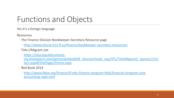#### Functions and Objects

Yes it's a foreign language

Resources

- The Finance Division Bookkeeper-Secretary Resource page
	- <http://www.stlucie.k12.fl.us/finance/bookkeeper-secretary-resources/>
- Title I/Migrant site
	- https://stluciepublicschoolsmy.sharepoint.com/personal/kdu0609 stlucieschools org/OTL/TitleIMigrant/ layouts/15/s tart.aspx#/SitePages/Home.aspx
- Red Book 2014
	- [http://www.fldoe.org/finance/fl-edu-finance-program-fefp/financial-program-cost](http://www.fldoe.org/finance/fl-edu-finance-program-fefp/financial-program-cost-accounting-repo.stml)accounting-repo.stml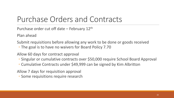Purchase order cut off date  $-$  February 12<sup>th</sup>

Plan ahead

Submit requisitions before allowing any work to be done or goods received

◦ The goal is to have no waivers for Board Policy 7.70

Allow 60 days for contract approval

- Singular or cumulative contracts over \$50,000 require School Board Approval
- Cumulative Contracts under \$49,999 can be signed by Kim Albritton

Allow 7 days for requisition approval

◦ Some requisitions require research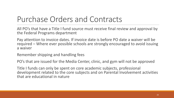All PO's that have a Title I fund source must receive final review and approval by the Federal Programs department

Pay attention to invoice dates. If invoice date is before PO date a waiver will be required – Where ever possible schools are strongly encouraged to avoid issuing a waiver

Remember shipping and handling fees

PO's that are issued for the Media Center, clinic, and gym will not be approved

Title I funds can only be spent on core academic subjects, professional development related to the core subjects and on Parental Involvement activities that are educational in nature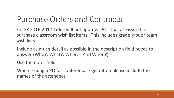For FY 2016-2017 Title I will not approve PO's that are issued to purchase classroom wish list items. This includes grade group/ team wish lists

Include as much detail as possible in the description field needs to answer (Who?, What?, Where? And When?)

Use the notes field

When issuing a PO for conference registration please include the names of the attendees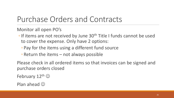Monitor all open PO's

- If items are not received by June 30<sup>th</sup> Title I funds cannot be used to cover the expense. Only have 2 options:
	- Pay for the items using a different fund source
	- Return the items not always possible

Please check in all ordered items so that invoices can be signed and purchase orders closed

February  $12^{\text{th}}$   $\odot$ 

Plan ahead  $\odot$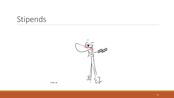

© 2007 A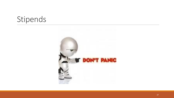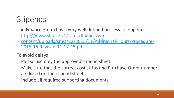The Finance group has a very well defined process for stipends

◦ http://www.stlucie.k12.fl.us/finance/wp[content/uploads/sites/22/2015/11/Additional-Hours-Procedure-](http://www.stlucie.k12.fl.us/finance/wp-content/uploads/sites/22/2015/11/Additional-Hours-Procedure-2015-16-Revised-11-17-15.pdf)2015-16-Revised-11-17-15.pdf

To avoid delays

- Please use only the approved stipend sheet
- Make sure that the correct cost strips and Purchase Order number are listed on the stipend sheet
- ◦Include all required supporting documents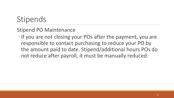#### Stipend PO Maintenance

◦If you are not closing your POs after the payment, you are responsible to contact purchasing to reduce your PO by the amount paid to date. Stipend/additional hours POs do not reduce after payroll, it must be manually reduced.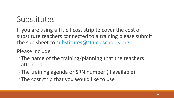#### Substitutes

If you are using a Title I cost strip to cover the cost of substitute teachers connected to a training please submit the sub sheet to [substitutes@stlucieschools.org](mailto:substitutes@stlucieschools.org)

Please include

- ◦The name of the training/planning that the teachers attended
- ◦The training agenda or SRN number (if available)
- ◦The cost strip that you would like to use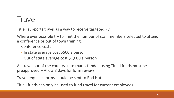#### **Travel**

Title I supports travel as a way to receive targeted PD

Where ever possible try to limit the number of staff members selected to attend a conference or out of town training.

- Conference costs
	- In state average cost \$500 a person
	- Out of state average cost \$1,000 a person

All travel out of the county/state that is funded using Title I funds must be preapproved – Allow 3 days for form review

Travel requests forms should be sent to Rod Natta

Title I funds can only be used to fund travel for current employees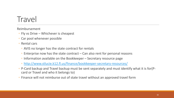#### **Travel**

Reimbursement

- Fly vs Drive Whichever is cheapest
- Car pool whenever possible
- Rental cars
	- AVIS no longer has the state contract for rentals
	- Enterprise now has the state contract Can also rent for personal reasons
	- Information available on the Bookkeeper Secretary resource page
	- <http://www.stlucie.k12.fl.us/finance/bookkeeper-secretary-resources/>
- P-Card backup and Travel backup must be sent separately and must identify what it is for(Pcard or Travel and who it belongs to)
- Finance will not reimburse out of state travel without an approved travel form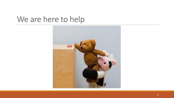#### We are here to help